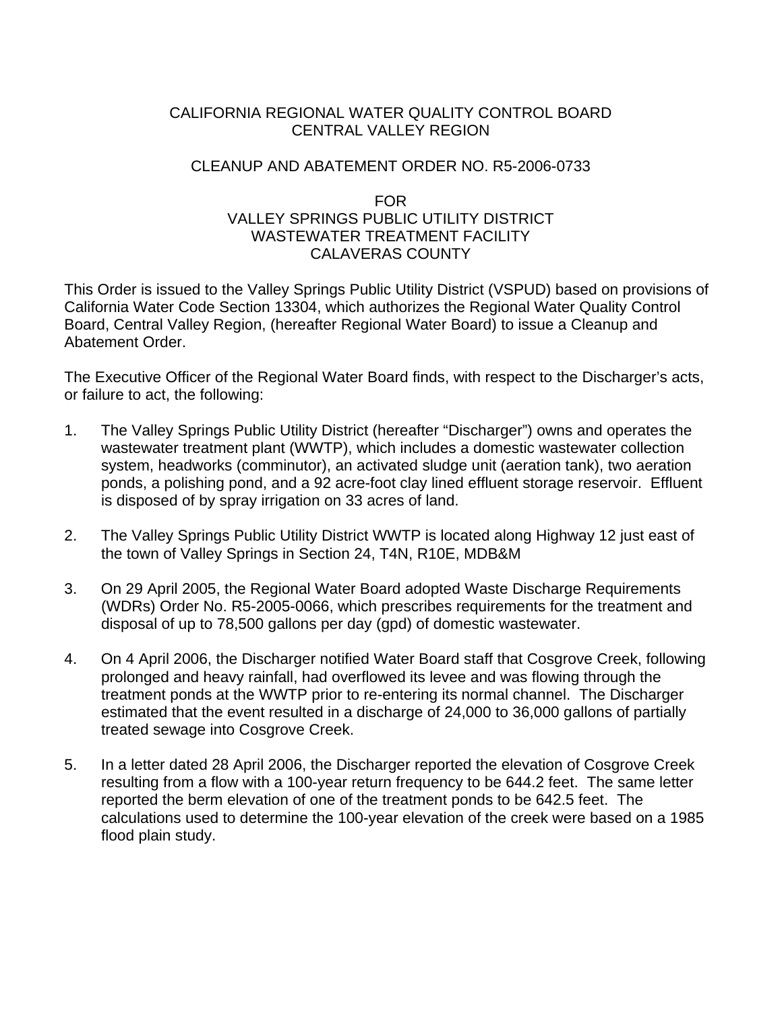## CALIFORNIA REGIONAL WATER QUALITY CONTROL BOARD CENTRAL VALLEY REGION

## CLEANUP AND ABATEMENT ORDER NO. R5-2006-0733

## FOR VALLEY SPRINGS PUBLIC UTILITY DISTRICT WASTEWATER TREATMENT FACILITY CALAVERAS COUNTY

This Order is issued to the Valley Springs Public Utility District (VSPUD) based on provisions of California Water Code Section 13304, which authorizes the Regional Water Quality Control Board, Central Valley Region, (hereafter Regional Water Board) to issue a Cleanup and Abatement Order.

The Executive Officer of the Regional Water Board finds, with respect to the Discharger's acts, or failure to act, the following:

- 1. The Valley Springs Public Utility District (hereafter "Discharger") owns and operates the wastewater treatment plant (WWTP), which includes a domestic wastewater collection system, headworks (comminutor), an activated sludge unit (aeration tank), two aeration ponds, a polishing pond, and a 92 acre-foot clay lined effluent storage reservoir. Effluent is disposed of by spray irrigation on 33 acres of land.
- 2. The Valley Springs Public Utility District WWTP is located along Highway 12 just east of the town of Valley Springs in Section 24, T4N, R10E, MDB&M
- 3. On 29 April 2005, the Regional Water Board adopted Waste Discharge Requirements (WDRs) Order No. R5-2005-0066, which prescribes requirements for the treatment and disposal of up to 78,500 gallons per day (gpd) of domestic wastewater.
- 4. On 4 April 2006, the Discharger notified Water Board staff that Cosgrove Creek, following prolonged and heavy rainfall, had overflowed its levee and was flowing through the treatment ponds at the WWTP prior to re-entering its normal channel. The Discharger estimated that the event resulted in a discharge of 24,000 to 36,000 gallons of partially treated sewage into Cosgrove Creek.
- 5. In a letter dated 28 April 2006, the Discharger reported the elevation of Cosgrove Creek resulting from a flow with a 100-year return frequency to be 644.2 feet. The same letter reported the berm elevation of one of the treatment ponds to be 642.5 feet. The calculations used to determine the 100-year elevation of the creek were based on a 1985 flood plain study.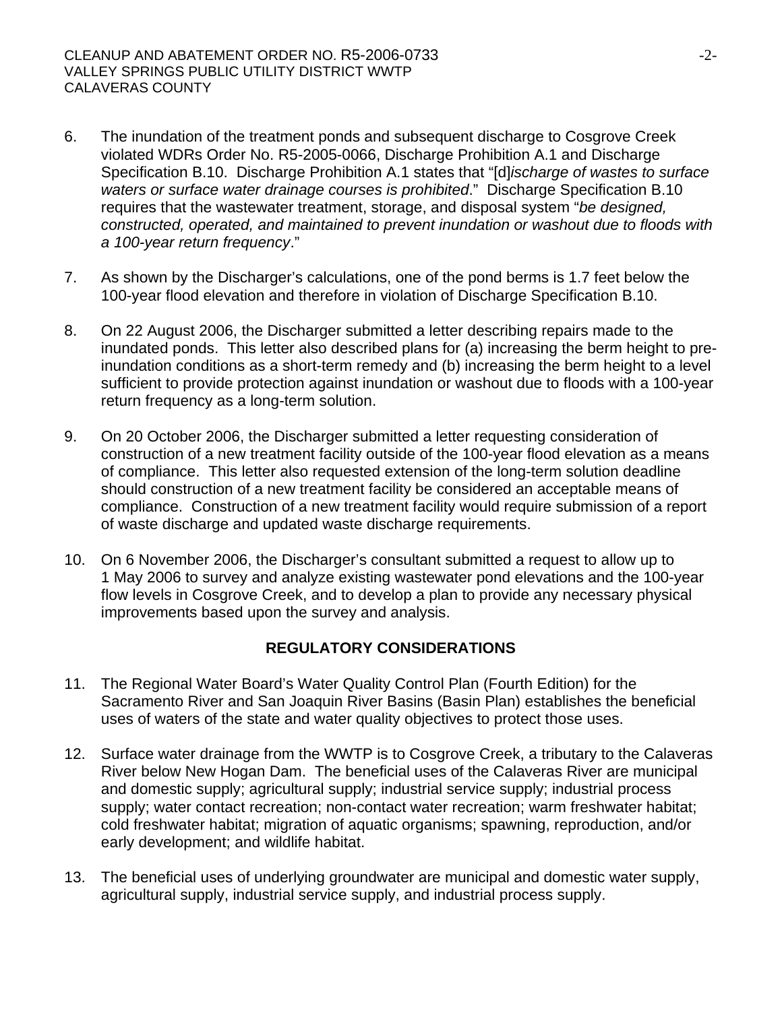- 6. The inundation of the treatment ponds and subsequent discharge to Cosgrove Creek violated WDRs Order No. R5-2005-0066, Discharge Prohibition A.1 and Discharge Specification B.10. Discharge Prohibition A.1 states that "[d]*ischarge of wastes to surface waters or surface water drainage courses is prohibited*." Discharge Specification B.10 requires that the wastewater treatment, storage, and disposal system "*be designed, constructed, operated, and maintained to prevent inundation or washout due to floods with a 100-year return frequency*."
- 7. As shown by the Discharger's calculations, one of the pond berms is 1.7 feet below the 100-year flood elevation and therefore in violation of Discharge Specification B.10.
- 8. On 22 August 2006, the Discharger submitted a letter describing repairs made to the inundated ponds. This letter also described plans for (a) increasing the berm height to preinundation conditions as a short-term remedy and (b) increasing the berm height to a level sufficient to provide protection against inundation or washout due to floods with a 100-year return frequency as a long-term solution.
- 9. On 20 October 2006, the Discharger submitted a letter requesting consideration of construction of a new treatment facility outside of the 100-year flood elevation as a means of compliance. This letter also requested extension of the long-term solution deadline should construction of a new treatment facility be considered an acceptable means of compliance. Construction of a new treatment facility would require submission of a report of waste discharge and updated waste discharge requirements.
- 10. On 6 November 2006, the Discharger's consultant submitted a request to allow up to 1 May 2006 to survey and analyze existing wastewater pond elevations and the 100-year flow levels in Cosgrove Creek, and to develop a plan to provide any necessary physical improvements based upon the survey and analysis.

## **REGULATORY CONSIDERATIONS**

- 11. The Regional Water Board's Water Quality Control Plan (Fourth Edition) for the Sacramento River and San Joaquin River Basins (Basin Plan) establishes the beneficial uses of waters of the state and water quality objectives to protect those uses.
- 12. Surface water drainage from the WWTP is to Cosgrove Creek, a tributary to the Calaveras River below New Hogan Dam. The beneficial uses of the Calaveras River are municipal and domestic supply; agricultural supply; industrial service supply; industrial process supply; water contact recreation; non-contact water recreation; warm freshwater habitat; cold freshwater habitat; migration of aquatic organisms; spawning, reproduction, and/or early development; and wildlife habitat.
- 13. The beneficial uses of underlying groundwater are municipal and domestic water supply, agricultural supply, industrial service supply, and industrial process supply.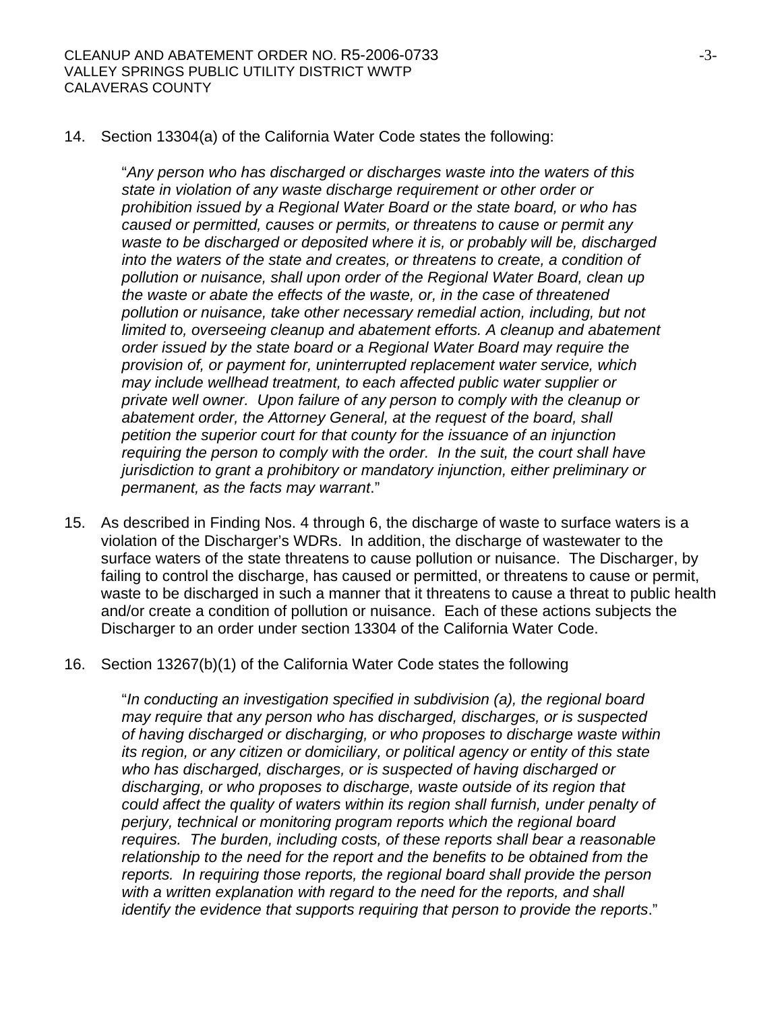14. Section 13304(a) of the California Water Code states the following:

"*Any person who has discharged or discharges waste into the waters of this state in violation of any waste discharge requirement or other order or prohibition issued by a Regional Water Board or the state board, or who has caused or permitted, causes or permits, or threatens to cause or permit any waste to be discharged or deposited where it is, or probably will be, discharged into the waters of the state and creates, or threatens to create, a condition of pollution or nuisance, shall upon order of the Regional Water Board, clean up the waste or abate the effects of the waste, or, in the case of threatened pollution or nuisance, take other necessary remedial action, including, but not limited to, overseeing cleanup and abatement efforts. A cleanup and abatement order issued by the state board or a Regional Water Board may require the provision of, or payment for, uninterrupted replacement water service, which may include wellhead treatment, to each affected public water supplier or private well owner. Upon failure of any person to comply with the cleanup or abatement order, the Attorney General, at the request of the board, shall petition the superior court for that county for the issuance of an injunction requiring the person to comply with the order. In the suit, the court shall have jurisdiction to grant a prohibitory or mandatory injunction, either preliminary or permanent, as the facts may warrant*."

- 15. As described in Finding Nos. 4 through 6, the discharge of waste to surface waters is a violation of the Discharger's WDRs. In addition, the discharge of wastewater to the surface waters of the state threatens to cause pollution or nuisance. The Discharger, by failing to control the discharge, has caused or permitted, or threatens to cause or permit, waste to be discharged in such a manner that it threatens to cause a threat to public health and/or create a condition of pollution or nuisance. Each of these actions subjects the Discharger to an order under section 13304 of the California Water Code.
- 16. Section 13267(b)(1) of the California Water Code states the following

"*In conducting an investigation specified in subdivision (a), the regional board may require that any person who has discharged, discharges, or is suspected of having discharged or discharging, or who proposes to discharge waste within its region, or any citizen or domiciliary, or political agency or entity of this state who has discharged, discharges, or is suspected of having discharged or discharging, or who proposes to discharge, waste outside of its region that*  could affect the quality of waters within its region shall furnish, under penalty of *perjury, technical or monitoring program reports which the regional board requires. The burden, including costs, of these reports shall bear a reasonable relationship to the need for the report and the benefits to be obtained from the reports. In requiring those reports, the regional board shall provide the person*  with a written explanation with regard to the need for the reports, and shall *identify the evidence that supports requiring that person to provide the reports*."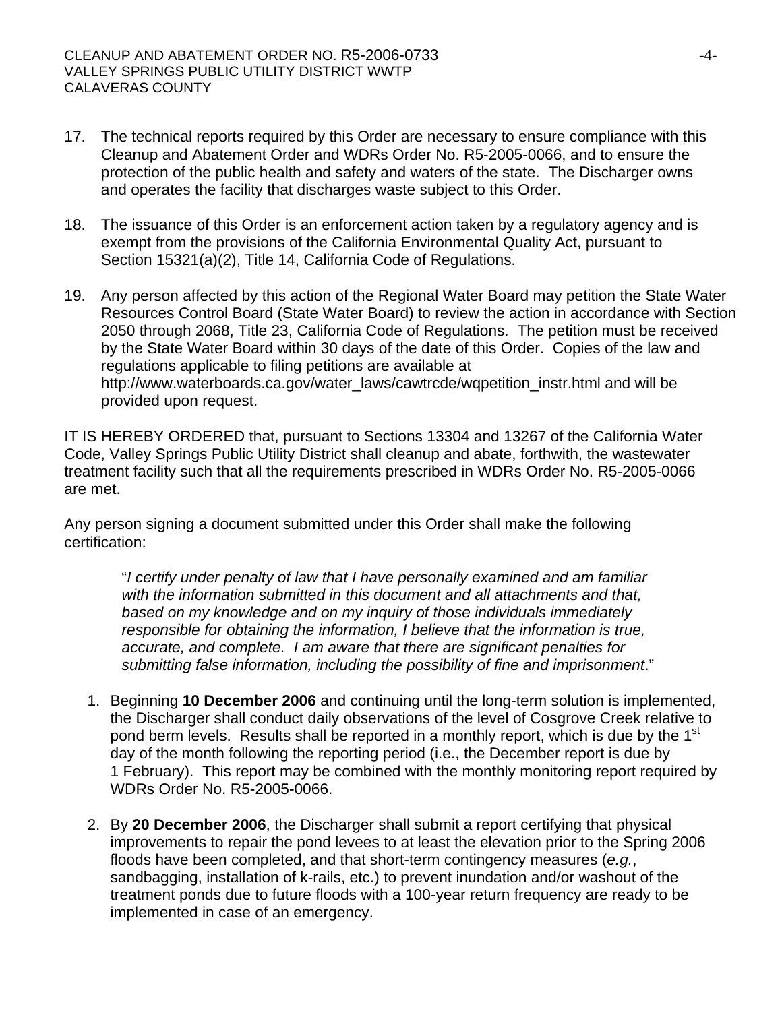- 17. The technical reports required by this Order are necessary to ensure compliance with this Cleanup and Abatement Order and WDRs Order No. R5-2005-0066, and to ensure the protection of the public health and safety and waters of the state. The Discharger owns and operates the facility that discharges waste subject to this Order.
- 18. The issuance of this Order is an enforcement action taken by a regulatory agency and is exempt from the provisions of the California Environmental Quality Act, pursuant to Section 15321(a)(2), Title 14, California Code of Regulations.
- 19. Any person affected by this action of the Regional Water Board may petition the State Water Resources Control Board (State Water Board) to review the action in accordance with Section 2050 through 2068, Title 23, California Code of Regulations. The petition must be received by the State Water Board within 30 days of the date of this Order. Copies of the law and regulations applicable to filing petitions are available at http://www.waterboards.ca.gov/water\_laws/cawtrcde/wqpetition\_instr.html and will be provided upon request.

IT IS HEREBY ORDERED that, pursuant to Sections 13304 and 13267 of the California Water Code, Valley Springs Public Utility District shall cleanup and abate, forthwith, the wastewater treatment facility such that all the requirements prescribed in WDRs Order No. R5-2005-0066 are met.

Any person signing a document submitted under this Order shall make the following certification:

> "*I certify under penalty of law that I have personally examined and am familiar with the information submitted in this document and all attachments and that, based on my knowledge and on my inquiry of those individuals immediately responsible for obtaining the information, I believe that the information is true, accurate, and complete. I am aware that there are significant penalties for submitting false information, including the possibility of fine and imprisonment*."

- 1. Beginning **10 December 2006** and continuing until the long-term solution is implemented, the Discharger shall conduct daily observations of the level of Cosgrove Creek relative to pond berm levels. Results shall be reported in a monthly report, which is due by the 1<sup>st</sup> day of the month following the reporting period (i.e., the December report is due by 1 February). This report may be combined with the monthly monitoring report required by WDRs Order No. R5-2005-0066.
- 2. By **20 December 2006**, the Discharger shall submit a report certifying that physical improvements to repair the pond levees to at least the elevation prior to the Spring 2006 floods have been completed, and that short-term contingency measures (*e.g.*, sandbagging, installation of k-rails, etc.) to prevent inundation and/or washout of the treatment ponds due to future floods with a 100-year return frequency are ready to be implemented in case of an emergency.